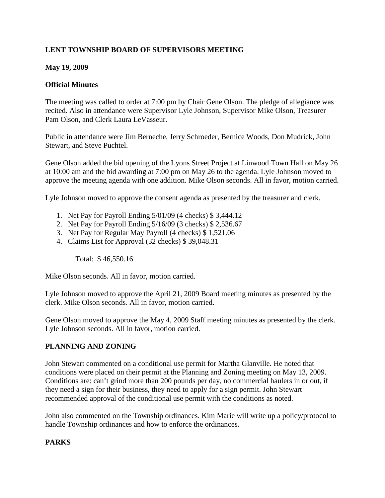# **LENT TOWNSHIP BOARD OF SUPERVISORS MEETING**

#### **May 19, 2009**

#### **Official Minutes**

The meeting was called to order at 7:00 pm by Chair Gene Olson. The pledge of allegiance was recited. Also in attendance were Supervisor Lyle Johnson, Supervisor Mike Olson, Treasurer Pam Olson, and Clerk Laura LeVasseur.

Public in attendance were Jim Berneche, Jerry Schroeder, Bernice Woods, Don Mudrick, John Stewart, and Steve Puchtel.

Gene Olson added the bid opening of the Lyons Street Project at Linwood Town Hall on May 26 at 10:00 am and the bid awarding at 7:00 pm on May 26 to the agenda. Lyle Johnson moved to approve the meeting agenda with one addition. Mike Olson seconds. All in favor, motion carried.

Lyle Johnson moved to approve the consent agenda as presented by the treasurer and clerk.

- 1. Net Pay for Payroll Ending 5/01/09 (4 checks) \$ 3,444.12
- 2. Net Pay for Payroll Ending 5/16/09 (3 checks) \$ 2,536.67
- 3. Net Pay for Regular May Payroll (4 checks) \$ 1,521.06
- 4. Claims List for Approval (32 checks) \$ 39,048.31

Total: \$ 46,550.16

Mike Olson seconds. All in favor, motion carried.

Lyle Johnson moved to approve the April 21, 2009 Board meeting minutes as presented by the clerk. Mike Olson seconds. All in favor, motion carried.

Gene Olson moved to approve the May 4, 2009 Staff meeting minutes as presented by the clerk. Lyle Johnson seconds. All in favor, motion carried.

## **PLANNING AND ZONING**

John Stewart commented on a conditional use permit for Martha Glanville. He noted that conditions were placed on their permit at the Planning and Zoning meeting on May 13, 2009. Conditions are: can't grind more than 200 pounds per day, no commercial haulers in or out, if they need a sign for their business, they need to apply for a sign permit. John Stewart recommended approval of the conditional use permit with the conditions as noted.

John also commented on the Township ordinances. Kim Marie will write up a policy/protocol to handle Township ordinances and how to enforce the ordinances.

## **PARKS**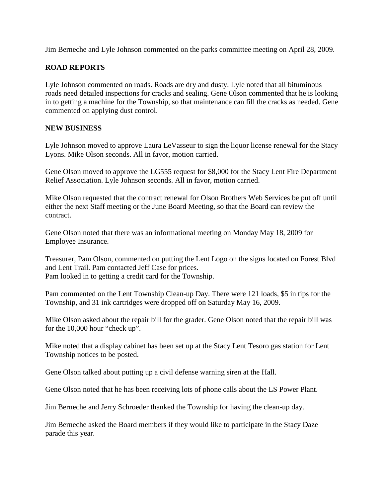Jim Berneche and Lyle Johnson commented on the parks committee meeting on April 28, 2009.

# **ROAD REPORTS**

Lyle Johnson commented on roads. Roads are dry and dusty. Lyle noted that all bituminous roads need detailed inspections for cracks and sealing. Gene Olson commented that he is looking in to getting a machine for the Township, so that maintenance can fill the cracks as needed. Gene commented on applying dust control.

## **NEW BUSINESS**

Lyle Johnson moved to approve Laura LeVasseur to sign the liquor license renewal for the Stacy Lyons. Mike Olson seconds. All in favor, motion carried.

Gene Olson moved to approve the LG555 request for \$8,000 for the Stacy Lent Fire Department Relief Association. Lyle Johnson seconds. All in favor, motion carried.

Mike Olson requested that the contract renewal for Olson Brothers Web Services be put off until either the next Staff meeting or the June Board Meeting, so that the Board can review the contract.

Gene Olson noted that there was an informational meeting on Monday May 18, 2009 for Employee Insurance.

Treasurer, Pam Olson, commented on putting the Lent Logo on the signs located on Forest Blvd and Lent Trail. Pam contacted Jeff Case for prices. Pam looked in to getting a credit card for the Township.

Pam commented on the Lent Township Clean-up Day. There were 121 loads, \$5 in tips for the Township, and 31 ink cartridges were dropped off on Saturday May 16, 2009.

Mike Olson asked about the repair bill for the grader. Gene Olson noted that the repair bill was for the 10,000 hour "check up".

Mike noted that a display cabinet has been set up at the Stacy Lent Tesoro gas station for Lent Township notices to be posted.

Gene Olson talked about putting up a civil defense warning siren at the Hall.

Gene Olson noted that he has been receiving lots of phone calls about the LS Power Plant.

Jim Berneche and Jerry Schroeder thanked the Township for having the clean-up day.

Jim Berneche asked the Board members if they would like to participate in the Stacy Daze parade this year.